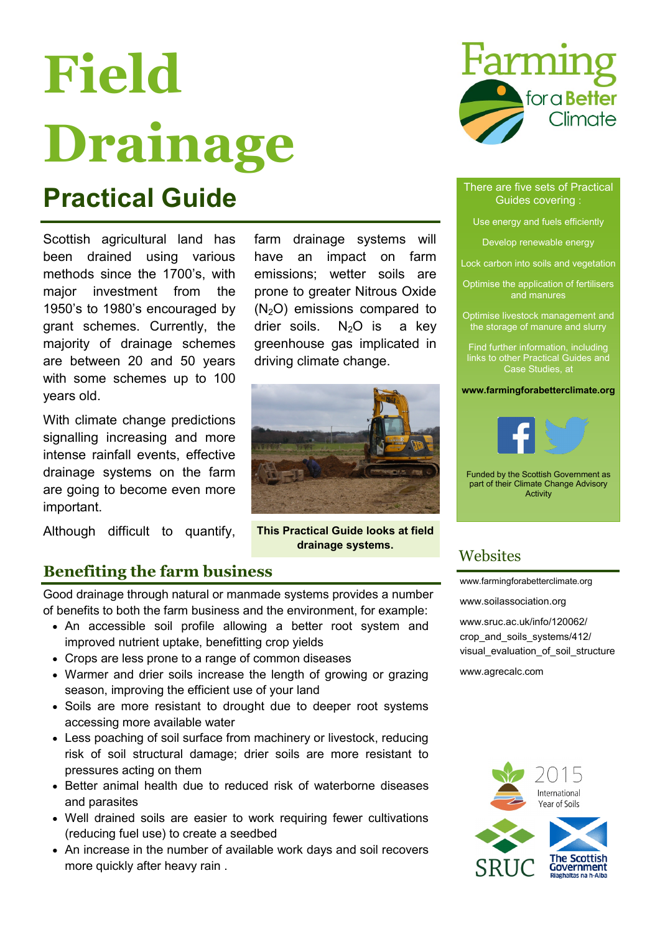# **Field Drainage**

### **Practical Guide** There are five sets of Practical Guide

Scottish agricultural land has been drained using various methods since the 1700's, with major investment from the 1950's to 1980's encouraged by grant schemes. Currently, the majority of drainage schemes are between 20 and 50 years with some schemes up to 100 years old.

With climate change predictions signalling increasing and more intense rainfall events, effective drainage systems on the farm are going to become even more important.

Although difficult to quantify,

farm drainage systems will have an impact on farm emissions; wetter soils are prone to greater Nitrous Oxide  $(N<sub>2</sub>O)$  emissions compared to drier soils.  $N_2O$  is a key greenhouse gas implicated in driving climate change.



**This Practical Guide looks at field drainage systems.** 

#### **Benefiting the farm business**

Good drainage through natural or manmade systems provides a number of benefits to both the farm business and the environment, for example:

- An accessible soil profile allowing a better root system and improved nutrient uptake, benefitting crop yields
- Crops are less prone to a range of common diseases
- Warmer and drier soils increase the length of growing or grazing season, improving the efficient use of your land
- Soils are more resistant to drought due to deeper root systems accessing more available water
- Less poaching of soil surface from machinery or livestock, reducing risk of soil structural damage; drier soils are more resistant to pressures acting on them
- Better animal health due to reduced risk of waterborne diseases and parasites
- Well drained soils are easier to work requiring fewer cultivations (reducing fuel use) to create a seedbed
- An increase in the number of available work days and soil recovers more quickly after heavy rain .



#### Guides covering :

- Use energy and fuels efficiently
	- Develop renewable energy
- Lock carbon into soils and vegetation
- Optimise the application of fertilisers and manures
- Optimise livestock management and the storage of manure and slurry
- Find further information, including links to other Practical Guides and Case Studies, at

**www.farmingforabetterclimate.org**



Funded by the Scottish Government as part of their Climate Change Advisory Activity

#### **Websites**

[www.farmingforabetterclimate.org](http://www.sac.ac.uk/climatechange/farmingforabetterclimate/)

[www.soilassociation.org](http://www.soilassociation.org/scotland)

[www.sruc.ac.uk/info/120062/](http://www.sruc.ac.uk/info/120062/crop_and_soils_systems/412/visual_evaluation_of_soil_structure) [crop\\_and\\_soils\\_systems/412/](http://www.sruc.ac.uk/info/120062/crop_and_soils_systems/412/visual_evaluation_of_soil_structure) visual evaluation of soil structure

[www.agrecalc.com](http://www.agrecalc.com/)